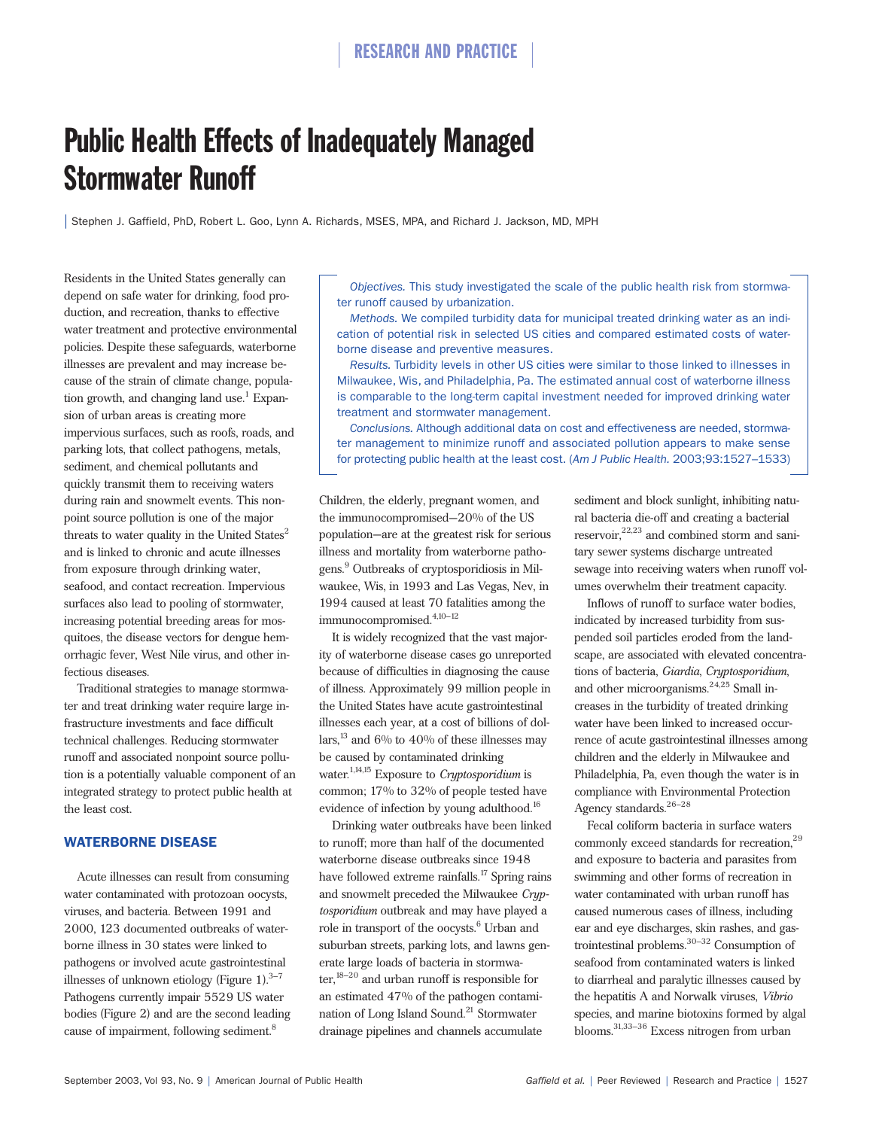# Public Health Effects of Inadequately Managed Stormwater Runoff

| Stephen J. Gaffield, PhD, Robert L. Goo, Lynn A. Richards, MSES, MPA, and Richard J. Jackson, MD, MPH

Residents in the United States generally can depend on safe water for drinking, food production, and recreation, thanks to effective water treatment and protective environmental policies. Despite these safeguards, waterborne illnesses are prevalent and may increase because of the strain of climate change, population growth, and changing land use.<sup>1</sup> Expansion of urban areas is creating more impervious surfaces, such as roofs, roads, and parking lots, that collect pathogens, metals, sediment, and chemical pollutants and quickly transmit them to receiving waters during rain and snowmelt events. This nonpoint source pollution is one of the major threats to water quality in the United States $2$ and is linked to chronic and acute illnesses from exposure through drinking water, seafood, and contact recreation. Impervious surfaces also lead to pooling of stormwater, increasing potential breeding areas for mosquitoes, the disease vectors for dengue hemorrhagic fever, West Nile virus, and other infectious diseases.

Traditional strategies to manage stormwater and treat drinking water require large infrastructure investments and face difficult technical challenges. Reducing stormwater runoff and associated nonpoint source pollution is a potentially valuable component of an integrated strategy to protect public health at the least cost.

#### WATERBORNE DISEASE

Acute illnesses can result from consuming water contaminated with protozoan oocysts, viruses, and bacteria. Between 1991 and 2000, 123 documented outbreaks of waterborne illness in 30 states were linked to pathogens or involved acute gastrointestinal illnesses of unknown etiology (Figure 1). $3-7$ Pathogens currently impair 5529 US water bodies (Figure 2) and are the second leading cause of impairment, following sediment.<sup>8</sup>

*Objectives.* This study investigated the scale of the public health risk from stormwater runoff caused by urbanization.

*Methods.* We compiled turbidity data for municipal treated drinking water as an indication of potential risk in selected US cities and compared estimated costs of waterborne disease and preventive measures.

*Results.* Turbidity levels in other US cities were similar to those linked to illnesses in Milwaukee, Wis, and Philadelphia, Pa. The estimated annual cost of waterborne illness is comparable to the long-term capital investment needed for improved drinking water treatment and stormwater management.

*Conclusions.* Although additional data on cost and effectiveness are needed, stormwater management to minimize runoff and associated pollution appears to make sense for protecting public health at the least cost. (*Am J Public Health.* 2003;93:1527–1533)

Children, the elderly, pregnant women, and the immunocompromised—20% of the US population—are at the greatest risk for serious illness and mortality from waterborne pathogens.<sup>9</sup> Outbreaks of cryptosporidiosis in Milwaukee, Wis, in 1993 and Las Vegas, Nev, in 1994 caused at least 70 fatalities among the immunocompromised. $4,10-12$ 

It is widely recognized that the vast majority of waterborne disease cases go unreported because of difficulties in diagnosing the cause of illness. Approximately 99 million people in the United States have acute gastrointestinal illnesses each year, at a cost of billions of dollars,  $^{13}$  and 6% to 40% of these illnesses may be caused by contaminated drinking water.1,14,15 Exposure to *Cryptosporidium* is common; 17% to 32% of people tested have evidence of infection by young adulthood.<sup>16</sup>

Drinking water outbreaks have been linked to runoff; more than half of the documented waterborne disease outbreaks since 1948 have followed extreme rainfalls.<sup>17</sup> Spring rains and snowmelt preceded the Milwaukee *Cryptosporidium* outbreak and may have played a role in transport of the oocysts.<sup>6</sup> Urban and suburban streets, parking lots, and lawns generate large loads of bacteria in stormwater,18–20 and urban runoff is responsible for an estimated 47% of the pathogen contamination of Long Island Sound.21 Stormwater drainage pipelines and channels accumulate

sediment and block sunlight, inhibiting natural bacteria die-off and creating a bacterial  $reservoir,$ <sup>22,23</sup> and combined storm and sanitary sewer systems discharge untreated sewage into receiving waters when runoff volumes overwhelm their treatment capacity.

Inflows of runoff to surface water bodies, indicated by increased turbidity from suspended soil particles eroded from the landscape, are associated with elevated concentrations of bacteria, *Giardia*, *Cryptosporidium*, and other microorganisms. $24,25$  Small increases in the turbidity of treated drinking water have been linked to increased occurrence of acute gastrointestinal illnesses among children and the elderly in Milwaukee and Philadelphia, Pa, even though the water is in compliance with Environmental Protection Agency standards.26–28

Fecal coliform bacteria in surface waters commonly exceed standards for recreation,<sup>29</sup> and exposure to bacteria and parasites from swimming and other forms of recreation in water contaminated with urban runoff has caused numerous cases of illness, including ear and eye discharges, skin rashes, and gastrointestinal problems.30–32 Consumption of seafood from contaminated waters is linked to diarrheal and paralytic illnesses caused by the hepatitis A and Norwalk viruses, *Vibrio* species, and marine biotoxins formed by algal blooms.31,33–36 Excess nitrogen from urban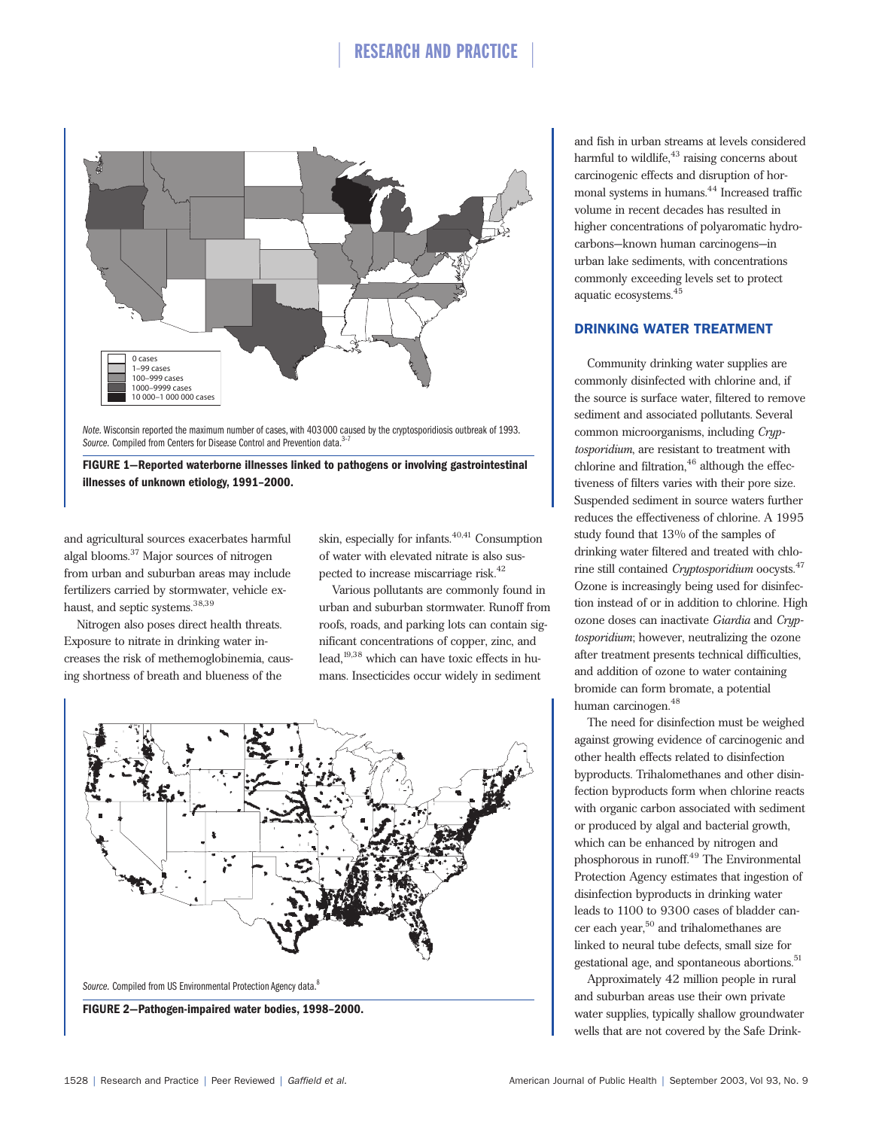

*Note.* Wisconsin reported the maximum number of cases, with 403 000 caused by the cryptosporidiosis outbreak of 1993.<br>*Source. C*ompiled from Centers for Disease Control and Prevention data.<sup>3-7</sup>

**FIGURE 1—Reported waterborne illnesses linked to pathogens or involving gastrointestinal illnesses of unknown etiology, 1991–2000.**

and agricultural sources exacerbates harmful algal blooms.37 Major sources of nitrogen from urban and suburban areas may include fertilizers carried by stormwater, vehicle exhaust, and septic systems.<sup>38,39</sup>

Nitrogen also poses direct health threats. Exposure to nitrate in drinking water increases the risk of methemoglobinemia, causing shortness of breath and blueness of the

skin, especially for infants. $40,41$  Consumption of water with elevated nitrate is also suspected to increase miscarriage risk.<sup>42</sup>

Various pollutants are commonly found in urban and suburban stormwater. Runoff from roofs, roads, and parking lots can contain significant concentrations of copper, zinc, and lead,19,38 which can have toxic effects in humans. Insecticides occur widely in sediment



and fish in urban streams at levels considered harmful to wildlife,<sup>43</sup> raising concerns about carcinogenic effects and disruption of hormonal systems in humans.<sup>44</sup> Increased traffic volume in recent decades has resulted in higher concentrations of polyaromatic hydrocarbons—known human carcinogens—in urban lake sediments, with concentrations commonly exceeding levels set to protect aquatic ecosystems.45

#### DRINKING WATER TREATMENT

Community drinking water supplies are commonly disinfected with chlorine and, if the source is surface water, filtered to remove sediment and associated pollutants. Several common microorganisms, including *Cryptosporidium*, are resistant to treatment with chlorine and filtration, $46$  although the effectiveness of filters varies with their pore size. Suspended sediment in source waters further reduces the effectiveness of chlorine. A 1995 study found that 13% of the samples of drinking water filtered and treated with chlorine still contained *Cryptosporidium* oocysts.<sup>47</sup> Ozone is increasingly being used for disinfection instead of or in addition to chlorine. High ozone doses can inactivate *Giardia* and *Cryptosporidium*; however, neutralizing the ozone after treatment presents technical difficulties, and addition of ozone to water containing bromide can form bromate, a potential human carcinogen.48

The need for disinfection must be weighed against growing evidence of carcinogenic and other health effects related to disinfection byproducts. Trihalomethanes and other disinfection byproducts form when chlorine reacts with organic carbon associated with sediment or produced by algal and bacterial growth, which can be enhanced by nitrogen and phosphorous in runoff.49 The Environmental Protection Agency estimates that ingestion of disinfection byproducts in drinking water leads to 1100 to 9300 cases of bladder cancer each year,<sup>50</sup> and trihalomethanes are linked to neural tube defects, small size for gestational age, and spontaneous abortions.<sup>51</sup>

Approximately 42 million people in rural and suburban areas use their own private water supplies, typically shallow groundwater wells that are not covered by the Safe Drink-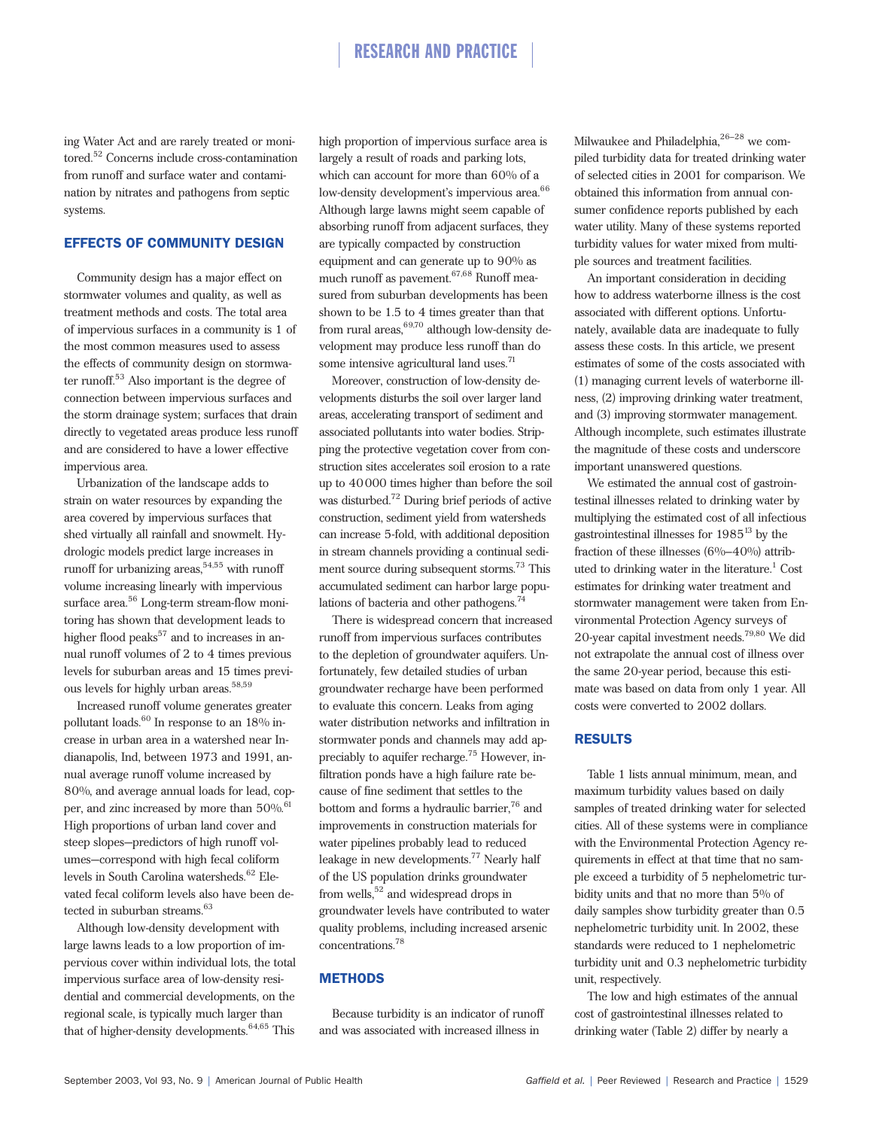ing Water Act and are rarely treated or monitored.52 Concerns include cross-contamination from runoff and surface water and contamination by nitrates and pathogens from septic systems.

### EFFECTS OF COMMUNITY DESIGN

Community design has a major effect on stormwater volumes and quality, as well as treatment methods and costs. The total area of impervious surfaces in a community is 1 of the most common measures used to assess the effects of community design on stormwater runoff.<sup>53</sup> Also important is the degree of connection between impervious surfaces and the storm drainage system; surfaces that drain directly to vegetated areas produce less runoff and are considered to have a lower effective impervious area.

Urbanization of the landscape adds to strain on water resources by expanding the area covered by impervious surfaces that shed virtually all rainfall and snowmelt. Hydrologic models predict large increases in runoff for urbanizing areas,  $54,55$  with runoff volume increasing linearly with impervious surface area.<sup>56</sup> Long-term stream-flow monitoring has shown that development leads to higher flood peaks $57$  and to increases in annual runoff volumes of 2 to 4 times previous levels for suburban areas and 15 times previous levels for highly urban areas.<sup>58,59</sup>

Increased runoff volume generates greater pollutant loads. $60$  In response to an 18% increase in urban area in a watershed near Indianapolis, Ind, between 1973 and 1991, annual average runoff volume increased by 80%, and average annual loads for lead, copper, and zinc increased by more than  $50\%$ .<sup>61</sup> High proportions of urban land cover and steep slopes—predictors of high runoff volumes—correspond with high fecal coliform levels in South Carolina watersheds.<sup>62</sup> Elevated fecal coliform levels also have been detected in suburban streams.<sup>63</sup>

Although low-density development with large lawns leads to a low proportion of impervious cover within individual lots, the total impervious surface area of low-density residential and commercial developments, on the regional scale, is typically much larger than that of higher-density developments.<sup>64,65</sup> This

high proportion of impervious surface area is largely a result of roads and parking lots, which can account for more than 60% of a low-density development's impervious area.<sup>66</sup> Although large lawns might seem capable of absorbing runoff from adjacent surfaces, they are typically compacted by construction equipment and can generate up to 90% as much runoff as pavement.<sup>67,68</sup> Runoff measured from suburban developments has been shown to be 1.5 to 4 times greater than that from rural areas,  $69,70$  although low-density development may produce less runoff than do some intensive agricultural land uses.<sup>71</sup>

Moreover, construction of low-density developments disturbs the soil over larger land areas, accelerating transport of sediment and associated pollutants into water bodies. Stripping the protective vegetation cover from construction sites accelerates soil erosion to a rate up to 40000 times higher than before the soil was disturbed.72 During brief periods of active construction, sediment yield from watersheds can increase 5-fold, with additional deposition in stream channels providing a continual sediment source during subsequent storms.<sup>73</sup> This accumulated sediment can harbor large populations of bacteria and other pathogens.<sup>74</sup>

There is widespread concern that increased runoff from impervious surfaces contributes to the depletion of groundwater aquifers. Unfortunately, few detailed studies of urban groundwater recharge have been performed to evaluate this concern. Leaks from aging water distribution networks and infiltration in stormwater ponds and channels may add appreciably to aquifer recharge.75 However, infiltration ponds have a high failure rate because of fine sediment that settles to the bottom and forms a hydraulic barrier,<sup>76</sup> and improvements in construction materials for water pipelines probably lead to reduced leakage in new developments.<sup>77</sup> Nearly half of the US population drinks groundwater from wells,<sup>52</sup> and widespread drops in groundwater levels have contributed to water quality problems, including increased arsenic concentrations.<sup>78</sup>

### **METHODS**

Because turbidity is an indicator of runoff and was associated with increased illness in

Milwaukee and Philadelphia,<sup>26-28</sup> we compiled turbidity data for treated drinking water of selected cities in 2001 for comparison. We obtained this information from annual consumer confidence reports published by each water utility. Many of these systems reported turbidity values for water mixed from multiple sources and treatment facilities.

An important consideration in deciding how to address waterborne illness is the cost associated with different options. Unfortunately, available data are inadequate to fully assess these costs. In this article, we present estimates of some of the costs associated with (1) managing current levels of waterborne illness, (2) improving drinking water treatment, and (3) improving stormwater management. Although incomplete, such estimates illustrate the magnitude of these costs and underscore important unanswered questions.

We estimated the annual cost of gastrointestinal illnesses related to drinking water by multiplying the estimated cost of all infectious gastrointestinal illnesses for  $1985^{13}$  by the fraction of these illnesses (6%–40%) attributed to drinking water in the literature.<sup>1</sup> Cost estimates for drinking water treatment and stormwater management were taken from Environmental Protection Agency surveys of 20-year capital investment needs.79,80 We did not extrapolate the annual cost of illness over the same 20-year period, because this estimate was based on data from only 1 year. All costs were converted to 2002 dollars.

#### RESULTS

Table 1 lists annual minimum, mean, and maximum turbidity values based on daily samples of treated drinking water for selected cities. All of these systems were in compliance with the Environmental Protection Agency requirements in effect at that time that no sample exceed a turbidity of 5 nephelometric turbidity units and that no more than 5% of daily samples show turbidity greater than 0.5 nephelometric turbidity unit. In 2002, these standards were reduced to 1 nephelometric turbidity unit and 0.3 nephelometric turbidity unit, respectively.

The low and high estimates of the annual cost of gastrointestinal illnesses related to drinking water (Table 2) differ by nearly a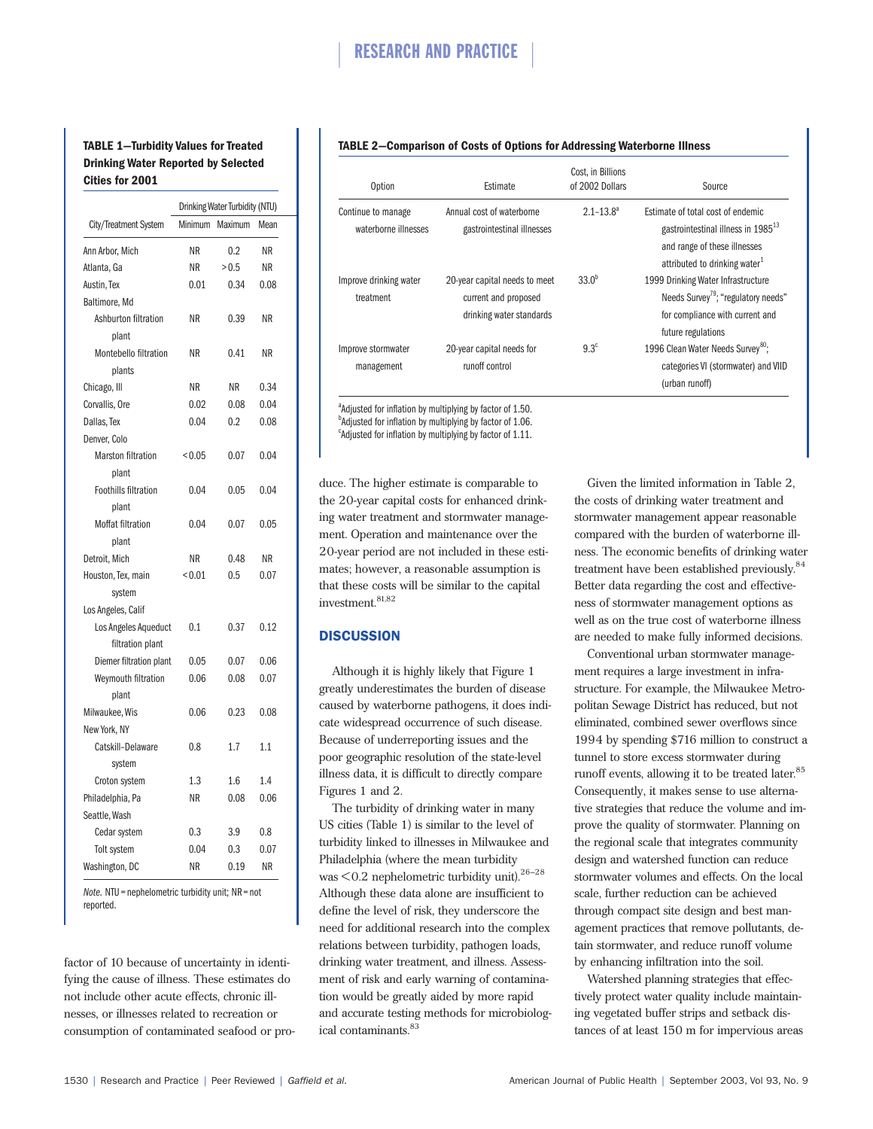### **TABLE 1—Turbidity Values for Treated Drinking Water Reported by Selected Cities for 2001**

|                             | Drinking Water Turbidity (NTU) |         |           |
|-----------------------------|--------------------------------|---------|-----------|
| City/Treatment System       | Minimum                        | Maximum | Mean      |
| Ann Arbor, Mich             | <b>NR</b>                      | 0.2     | <b>NR</b> |
| Atlanta, Ga                 | ΝR                             | > 0.5   | ΝR        |
| Austin, Tex                 | 0.01                           | 0.34    | 0.08      |
| Baltimore, Md               |                                |         |           |
| Ashburton filtration        | ΝR                             | 0.39    | ΝR        |
| plant                       |                                |         |           |
| Montebello filtration       | <b>NR</b>                      | 0.41    | <b>NR</b> |
| plants                      |                                |         |           |
| Chicago, III                | ΝR                             | ΝR      | 0.34      |
| Corvallis, Ore              | 0.02                           | 0.08    | 0.04      |
| Dallas, Tex                 | 0.04                           | 0.2     | 0.08      |
| Denver, Colo                |                                |         |           |
| <b>Marston filtration</b>   | < 0.05                         | 0.07    | 0.04      |
| plant                       |                                |         |           |
| <b>Foothills filtration</b> | 0.04                           | 0.05    | 0.04      |
| plant                       |                                |         |           |
| Moffat filtration           | 0.04                           | 0.07    | 0.05      |
| plant                       |                                |         |           |
| Detroit, Mich               | ΝR                             | 0.48    | ΝR        |
| Houston, Tex, main          | ${}_{0.01}$                    | 0.5     | 0.07      |
| system                      |                                |         |           |
| Los Angeles, Calif          |                                |         |           |
| Los Angeles Aqueduct        | 0.1                            | 0.37    | 0.12      |
| filtration plant            |                                |         |           |
| Diemer filtration plant     | 0.05                           | 0.07    | 0.06      |
| Weymouth filtration         | 0.06                           | 0.08    | 0.07      |
| plant                       |                                |         |           |
| Milwaukee, Wis              | 0.06                           | 0.23    | 0.08      |
| New York, NY                |                                |         |           |
| Catskill-Delaware           | 0.8                            | 1.7     | 1.1       |
| system                      |                                |         |           |
| Croton system               | 1.3                            | 1.6     | 1.4       |
| Philadelphia, Pa            | <b>NR</b>                      | 0.08    | 0.06      |
| Seattle, Wash               |                                |         |           |
| Cedar system                | 0.3                            | 3.9     | 0.8       |
| Tolt system                 | 0.04                           | 0.3     | 0.07      |
| Washington, DC              | ΝR                             | 0.19    | <b>NR</b> |

*Note.* NTU = nephelometric turbidity unit; NR = not reported.

factor of 10 because of uncertainty in identifying the cause of illness. These estimates do not include other acute effects, chronic illnesses, or illnesses related to recreation or consumption of contaminated seafood or pro-

#### **TABLE 2—Comparison of Costs of Options for Addressing Waterborne Illness**

| <b>Option</b>                              | Estimate                                                                          | Cost. in Billions<br>of 2002 Dollars | Source                                                                                                                                                           |  |
|--------------------------------------------|-----------------------------------------------------------------------------------|--------------------------------------|------------------------------------------------------------------------------------------------------------------------------------------------------------------|--|
| Continue to manage<br>waterborne illnesses | Annual cost of waterborne<br>gastrointestinal illnesses                           | $2.1 - 13.8^a$                       | Estimate of total cost of endemic<br>gastrointestinal illness in 1985 <sup>13</sup><br>and range of these illnesses<br>attributed to drinking water <sup>1</sup> |  |
| Improve drinking water<br>treatment        | 20-year capital needs to meet<br>current and proposed<br>drinking water standards | $33.0^{b}$                           | 1999 Drinking Water Infrastructure<br>Needs Survey <sup>79</sup> ; "regulatory needs"<br>for compliance with current and<br>future regulations                   |  |
| Improve stormwater<br>management           | 20-year capital needs for<br>runoff control                                       | $9.3^\circ$                          | 1996 Clean Water Needs Survey <sup>80</sup> ;<br>categories VI (stormwater) and VIID<br>(urban runoff)                                                           |  |

<sup>a</sup>Adjusted for inflation by multiplying by factor of 1.50. <sup>b</sup>Adjusted for inflation by multiplying by factor of 1.06. <sup>c</sup>Adjusted for inflation by multiplying by factor of 1.11.

duce. The higher estimate is comparable to the 20-year capital costs for enhanced drinking water treatment and stormwater management. Operation and maintenance over the 20-year period are not included in these estimates; however, a reasonable assumption is that these costs will be similar to the capital investment.<sup>81,82</sup>

### **DISCUSSION**

Although it is highly likely that Figure 1 greatly underestimates the burden of disease caused by waterborne pathogens, it does indicate widespread occurrence of such disease. Because of underreporting issues and the poor geographic resolution of the state-level illness data, it is difficult to directly compare Figures 1 and 2.

The turbidity of drinking water in many US cities (Table 1) is similar to the level of turbidity linked to illnesses in Milwaukee and Philadelphia (where the mean turbidity was  $\leq$  0.2 nephelometric turbidity unit).<sup>26–28</sup> Although these data alone are insufficient to define the level of risk, they underscore the need for additional research into the complex relations between turbidity, pathogen loads, drinking water treatment, and illness. Assessment of risk and early warning of contamination would be greatly aided by more rapid and accurate testing methods for microbiological contaminants.<sup>83</sup>

Given the limited information in Table 2, the costs of drinking water treatment and stormwater management appear reasonable compared with the burden of waterborne illness. The economic benefits of drinking water treatment have been established previously.<sup>84</sup> Better data regarding the cost and effectiveness of stormwater management options as well as on the true cost of waterborne illness are needed to make fully informed decisions.

Conventional urban stormwater management requires a large investment in infrastructure. For example, the Milwaukee Metropolitan Sewage District has reduced, but not eliminated, combined sewer overflows since 1994 by spending \$716 million to construct a tunnel to store excess stormwater during runoff events, allowing it to be treated later.<sup>85</sup> Consequently, it makes sense to use alternative strategies that reduce the volume and improve the quality of stormwater. Planning on the regional scale that integrates community design and watershed function can reduce stormwater volumes and effects. On the local scale, further reduction can be achieved through compact site design and best management practices that remove pollutants, detain stormwater, and reduce runoff volume by enhancing infiltration into the soil.

Watershed planning strategies that effectively protect water quality include maintaining vegetated buffer strips and setback distances of at least 150 m for impervious areas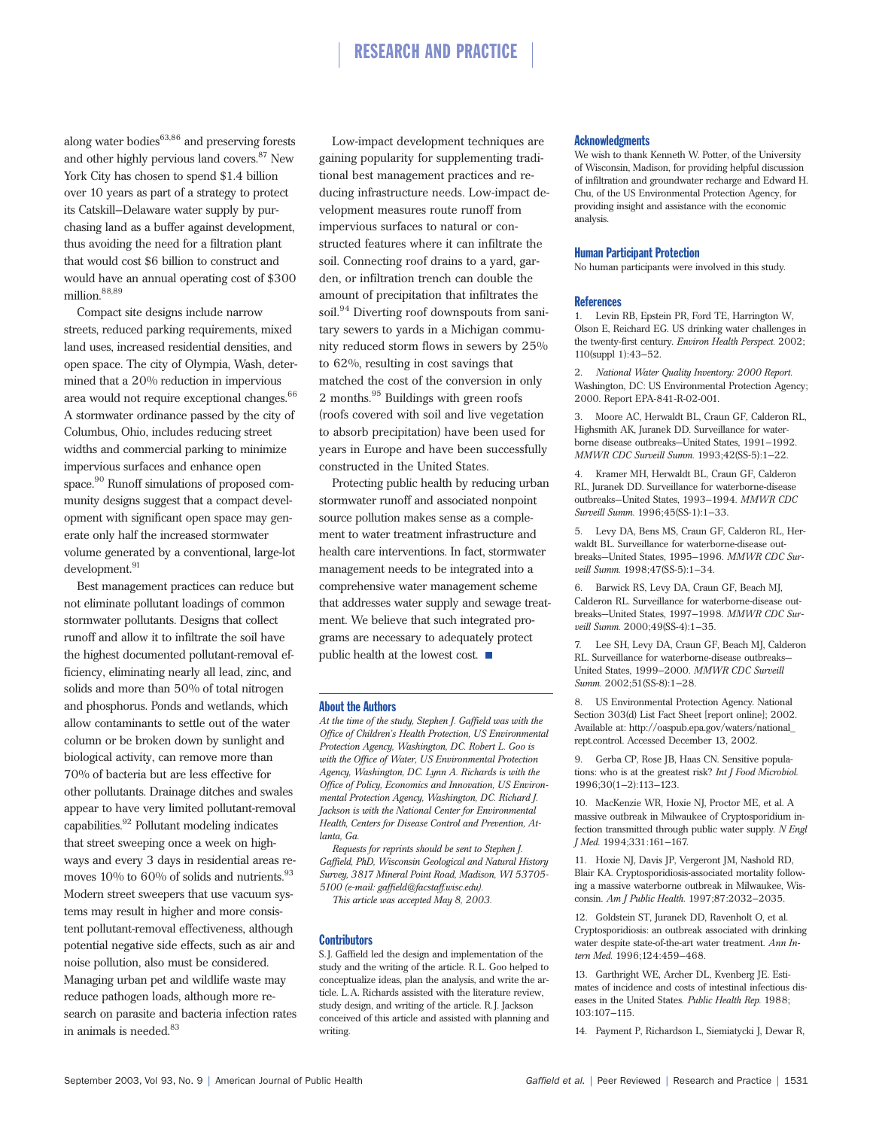along water bodies $63,86$  and preserving forests and other highly pervious land covers.<sup>87</sup> New York City has chosen to spend \$1.4 billion over 10 years as part of a strategy to protect its Catskill–Delaware water supply by purchasing land as a buffer against development, thus avoiding the need for a filtration plant that would cost \$6 billion to construct and would have an annual operating cost of \$300 million.<sup>88,89</sup>

Compact site designs include narrow streets, reduced parking requirements, mixed land uses, increased residential densities, and open space. The city of Olympia, Wash, determined that a 20% reduction in impervious area would not require exceptional changes.  $\rm^{66}$ A stormwater ordinance passed by the city of Columbus, Ohio, includes reducing street widths and commercial parking to minimize impervious surfaces and enhance open space.<sup>90</sup> Runoff simulations of proposed community designs suggest that a compact development with significant open space may generate only half the increased stormwater volume generated by a conventional, large-lot development.<sup>91</sup>

Best management practices can reduce but not eliminate pollutant loadings of common stormwater pollutants. Designs that collect runoff and allow it to infiltrate the soil have the highest documented pollutant-removal efficiency, eliminating nearly all lead, zinc, and solids and more than 50% of total nitrogen and phosphorus. Ponds and wetlands, which allow contaminants to settle out of the water column or be broken down by sunlight and biological activity, can remove more than 70% of bacteria but are less effective for other pollutants. Drainage ditches and swales appear to have very limited pollutant-removal  $capabilities.<sup>92</sup>$  Pollutant modeling indicates that street sweeping once a week on highways and every 3 days in residential areas removes  $10\%$  to  $60\%$  of solids and nutrients.<sup>93</sup> Modern street sweepers that use vacuum systems may result in higher and more consistent pollutant-removal effectiveness, although potential negative side effects, such as air and noise pollution, also must be considered. Managing urban pet and wildlife waste may reduce pathogen loads, although more research on parasite and bacteria infection rates in animals is needed. $83$ 

Low-impact development techniques are gaining popularity for supplementing traditional best management practices and reducing infrastructure needs. Low-impact development measures route runoff from impervious surfaces to natural or constructed features where it can infiltrate the soil. Connecting roof drains to a yard, garden, or infiltration trench can double the amount of precipitation that infiltrates the soil.<sup>94</sup> Diverting roof downspouts from sanitary sewers to yards in a Michigan community reduced storm flows in sewers by 25% to 62%, resulting in cost savings that matched the cost of the conversion in only 2 months.<sup>95</sup> Buildings with green roofs (roofs covered with soil and live vegetation to absorb precipitation) have been used for years in Europe and have been successfully constructed in the United States.

Protecting public health by reducing urban stormwater runoff and associated nonpoint source pollution makes sense as a complement to water treatment infrastructure and health care interventions. In fact, stormwater management needs to be integrated into a comprehensive water management scheme that addresses water supply and sewage treatment. We believe that such integrated programs are necessary to adequately protect public health at the lowest cost.  $\blacksquare$ 

#### About the Authors

*At the time of the study, Stephen J. Gaffield was with the Office of Children's Health Protection, US Environmental Protection Agency, Washington, DC. Robert L. Goo is with the Office of Water, US Environmental Protection Agency, Washington, DC. Lynn A. Richards is with the Office of Policy, Economics and Innovation, US Environmental Protection Agency, Washington, DC. Richard J. Jackson is with the National Center for Environmental Health, Centers for Disease Control and Prevention, Atlanta, Ga.*

*Requests for reprints should be sent to Stephen J. Gaffield, PhD, Wisconsin Geological and Natural History Survey, 3817 Mineral Point Road, Madison, WI 53705- 5100 (e-mail: gaffield@facstaff.wisc.edu).*

*This article was accepted May 8, 2003.*

#### **Contributors**

S.J. Gaffield led the design and implementation of the study and the writing of the article. R.L. Goo helped to conceptualize ideas, plan the analysis, and write the article. L.A. Richards assisted with the literature review, study design, and writing of the article. R.J. Jackson conceived of this article and assisted with planning and writing.

#### Acknowledgments

We wish to thank Kenneth W. Potter, of the University of Wisconsin, Madison, for providing helpful discussion of infiltration and groundwater recharge and Edward H. Chu, of the US Environmental Protection Agency, for providing insight and assistance with the economic analysis.

#### Human Participant Protection

No human participants were involved in this study.

#### References

1. Levin RB, Epstein PR, Ford TE, Harrington W, Olson E, Reichard EG. US drinking water challenges in the twenty-first century. *Environ Health Perspect.* 2002; 110(suppl 1):43–52.

2. *National Water Quality Inventory: 2000 Report.* Washington, DC: US Environmental Protection Agency; 2000. Report EPA-841-R-02-001.

3. Moore AC, Herwaldt BL, Craun GF, Calderon RL, Highsmith AK, Juranek DD. Surveillance for waterborne disease outbreaks—United States, 1991–1992. *MMWR CDC Surveill Summ.* 1993;42(SS-5):1–22.

4. Kramer MH, Herwaldt BL, Craun GF, Calderon RL, Juranek DD. Surveillance for waterborne-disease outbreaks—United States, 1993–1994. *MMWR CDC Surveill Summ.* 1996;45(SS-1):1–33.

5. Levy DA, Bens MS, Craun GF, Calderon RL, Herwaldt BL. Surveillance for waterborne-disease outbreaks—United States, 1995–1996. *MMWR CDC Surveill Summ.* 1998;47(SS-5):1–34.

6. Barwick RS, Levy DA, Craun GF, Beach MJ, Calderon RL. Surveillance for waterborne-disease outbreaks—United States, 1997–1998. *MMWR CDC Surveill Summ.* 2000;49(SS-4):1–35.

7. Lee SH, Levy DA, Craun GF, Beach MJ, Calderon RL. Surveillance for waterborne-disease outbreaks— United States, 1999–2000. *MMWR CDC Surveill Summ.* 2002;51(SS-8):1–28.

8. US Environmental Protection Agency. National Section 303(d) List Fact Sheet [report online]; 2002. Available at: http://oaspub.epa.gov/waters/national\_ rept.control. Accessed December 13, 2002.

9. Gerba CP, Rose JB, Haas CN. Sensitive populations: who is at the greatest risk? *Int J Food Microbiol.* 1996;30(1–2):113–123.

10. MacKenzie WR, Hoxie NJ, Proctor ME, et al. A massive outbreak in Milwaukee of Cryptosporidium infection transmitted through public water supply. *N Engl J Med.* 1994;331:161–167.

11. Hoxie NJ, Davis JP, Vergeront JM, Nashold RD, Blair KA. Cryptosporidiosis-associated mortality following a massive waterborne outbreak in Milwaukee, Wisconsin. *Am J Public Health.* 1997;87:2032–2035.

12. Goldstein ST, Juranek DD, Ravenholt O, et al. Cryptosporidiosis: an outbreak associated with drinking water despite state-of-the-art water treatment. *Ann Intern Med.* 1996;124:459–468.

13. Garthright WE, Archer DL, Kvenberg JE. Estimates of incidence and costs of intestinal infectious diseases in the United States. *Public Health Rep.* 1988; 103:107–115.

14. Payment P, Richardson L, Siemiatycki J, Dewar R,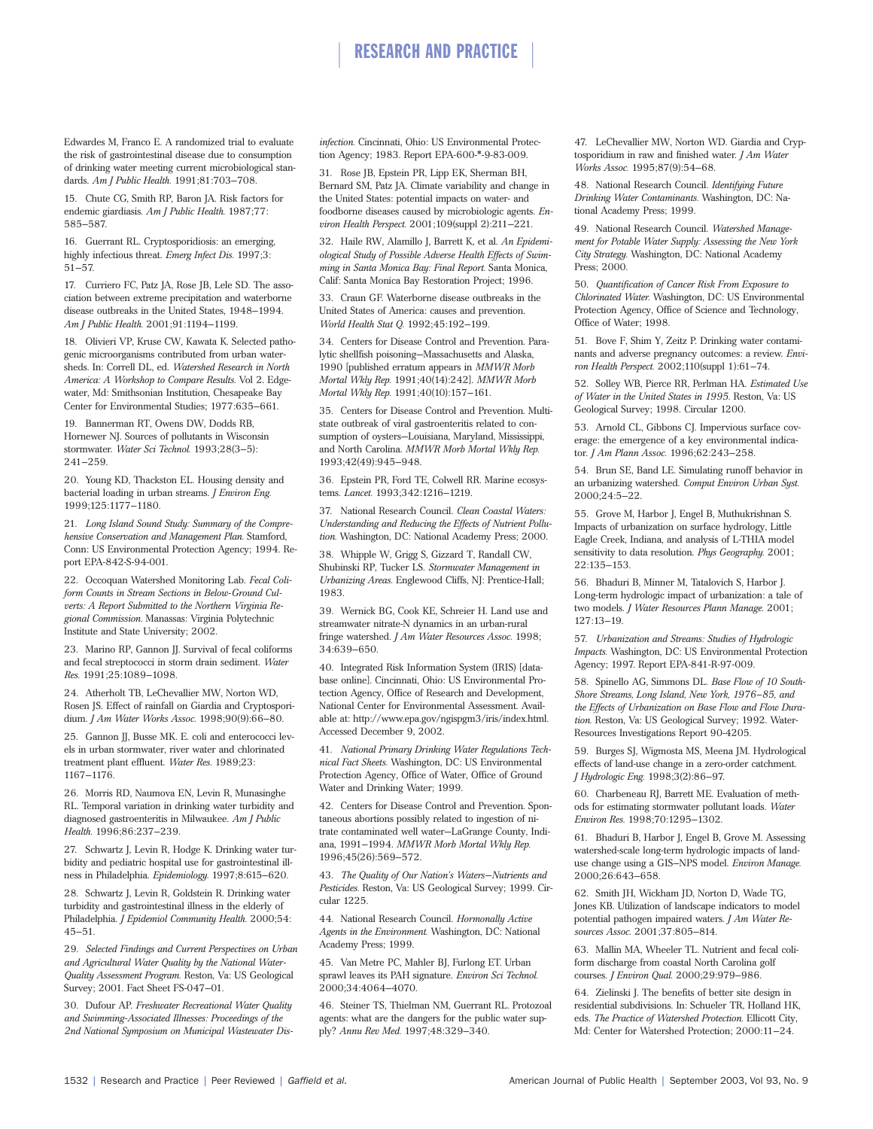Edwardes M, Franco E. A randomized trial to evaluate the risk of gastrointestinal disease due to consumption of drinking water meeting current microbiological standards. *Am J Public Health.* 1991;81:703–708.

15. Chute CG, Smith RP, Baron JA. Risk factors for endemic giardiasis. *Am J Public Health.* 1987;77: 585–587.

16. Guerrant RL. Cryptosporidiosis: an emerging, highly infectious threat. *Emerg Infect Dis.* 1997;3: 51–57.

17. Curriero FC, Patz JA, Rose JB, Lele SD. The association between extreme precipitation and waterborne disease outbreaks in the United States, 1948–1994. *Am J Public Health.* 2001;91:1194–1199.

18. Olivieri VP, Kruse CW, Kawata K. Selected pathogenic microorganisms contributed from urban watersheds. In: Correll DL, ed. *Watershed Research in North America: A Workshop to Compare Results.* Vol 2. Edgewater, Md: Smithsonian Institution, Chesapeake Bay Center for Environmental Studies; 1977:635–661.

19. Bannerman RT, Owens DW, Dodds RB, Hornewer NJ. Sources of pollutants in Wisconsin stormwater. *Water Sci Technol.* 1993;28(3–5): 241–259.

20. Young KD, Thackston EL. Housing density and bacterial loading in urban streams. *J Environ Eng.* 1999;125:1177–1180.

21. *Long Island Sound Study: Summary of the Comprehensive Conservation and Management Plan.* Stamford, Conn: US Environmental Protection Agency; 1994. Report EPA-842-S-94-001.

22. Occoquan Watershed Monitoring Lab. *Fecal Coliform Counts in Stream Sections in Below-Ground Culverts: A Report Submitted to the Northern Virginia Regional Commission.* Manassas: Virginia Polytechnic Institute and State University; 2002.

23. Marino RP, Gannon JJ. Survival of fecal coliforms and fecal streptococci in storm drain sediment. *Water Res.* 1991;25:1089–1098.

24. Atherholt TB, LeChevallier MW, Norton WD, Rosen JS. Effect of rainfall on Giardia and Cryptosporidium. *J Am Water Works Assoc.* 1998;90(9):66–80.

25. Gannon JJ, Busse MK. E. coli and enterococci levels in urban stormwater, river water and chlorinated treatment plant effluent. *Water Res.* 1989;23: 1167–1176.

26. Morris RD, Naumova EN, Levin R, Munasinghe RL. Temporal variation in drinking water turbidity and diagnosed gastroenteritis in Milwaukee. *Am J Public Health.* 1996;86:237–239.

27. Schwartz J, Levin R, Hodge K. Drinking water turbidity and pediatric hospital use for gastrointestinal illness in Philadelphia. *Epidemiology.* 1997;8:615–620.

28. Schwartz J, Levin R, Goldstein R. Drinking water turbidity and gastrointestinal illness in the elderly of Philadelphia. *J Epidemiol Community Health.* 2000;54: 45–51.

29. *Selected Findings and Current Perspectives on Urban and Agricultural Water Quality by the National Water-Quality Assessment Program.* Reston, Va: US Geological Survey; 2001. Fact Sheet FS-047–01.

30. Dufour AP. *Freshwater Recreational Water Quality and Swimming-Associated Illnesses: Proceedings of the 2nd National Symposium on Municipal Wastewater Dis-*

*infection.* Cincinnati, Ohio: US Environmental Protection Agency; 1983. Report EPA-600-\*-9-83-009.

31. Rose JB, Epstein PR, Lipp EK, Sherman BH, Bernard SM, Patz JA. Climate variability and change in the United States: potential impacts on water- and foodborne diseases caused by microbiologic agents. *Environ Health Perspect.* 2001;109(suppl 2):211–221.

32. Haile RW, Alamillo J, Barrett K, et al. *An Epidemiological Study of Possible Adverse Health Effects of Swimming in Santa Monica Bay: Final Report.* Santa Monica, Calif: Santa Monica Bay Restoration Project; 1996.

33. Craun GF. Waterborne disease outbreaks in the United States of America: causes and prevention. *World Health Stat Q.* 1992;45:192–199.

34. Centers for Disease Control and Prevention. Paralytic shellfish poisoning—Massachusetts and Alaska, 1990 [published erratum appears in *MMWR Morb Mortal Wkly Rep.* 1991;40(14):242]. *MMWR Morb Mortal Wkly Rep.* 1991;40(10):157–161.

35. Centers for Disease Control and Prevention. Multistate outbreak of viral gastroenteritis related to consumption of oysters—Louisiana, Maryland, Mississippi, and North Carolina. *MMWR Morb Mortal Wkly Rep.* 1993;42(49):945–948.

36. Epstein PR, Ford TE, Colwell RR. Marine ecosystems. *Lancet.* 1993;342:1216–1219.

37. National Research Council. *Clean Coastal Waters: Understanding and Reducing the Effects of Nutrient Pollution.* Washington, DC: National Academy Press; 2000.

38. Whipple W, Grigg S, Gizzard T, Randall CW, Shubinski RP, Tucker LS. *Stormwater Management in Urbanizing Areas.* Englewood Cliffs, NJ: Prentice-Hall; 1983.

39. Wernick BG, Cook KE, Schreier H. Land use and streamwater nitrate-N dynamics in an urban-rural fringe watershed. *J Am Water Resources Assoc.* 1998; 34:639–650.

40. Integrated Risk Information System (IRIS) [database online]. Cincinnati, Ohio: US Environmental Protection Agency, Office of Research and Development, National Center for Environmental Assessment. Available at: http://www.epa.gov/ngispgm3/iris/index.html. Accessed December 9, 2002.

41. *National Primary Drinking Water Regulations Technical Fact Sheets.* Washington, DC: US Environmental Protection Agency, Office of Water, Office of Ground Water and Drinking Water; 1999.

42. Centers for Disease Control and Prevention. Spontaneous abortions possibly related to ingestion of nitrate contaminated well water—LaGrange County, Indiana, 1991–1994. *MMWR Morb Mortal Wkly Rep.* 1996;45(26):569–572.

43. *The Quality of Our Nation's Waters—Nutrients and Pesticides.* Reston, Va: US Geological Survey; 1999. Circular 1225.

44. National Research Council. *Hormonally Active Agents in the Environment.* Washington, DC: National Academy Press; 1999.

45. Van Metre PC, Mahler BJ, Furlong ET. Urban sprawl leaves its PAH signature. *Environ Sci Technol.* 2000;34:4064–4070.

46. Steiner TS, Thielman NM, Guerrant RL. Protozoal agents: what are the dangers for the public water supply? *Annu Rev Med.* 1997;48:329–340.

47. LeChevallier MW, Norton WD. Giardia and Cryptosporidium in raw and finished water. *J Am Water Works Assoc.* 1995;87(9):54–68.

48. National Research Council. *Identifying Future Drinking Water Contaminants.* Washington, DC: National Academy Press; 1999.

49. National Research Council. *Watershed Management for Potable Water Supply: Assessing the New York City Strategy.* Washington, DC: National Academy Press; 2000.

50. *Quantification of Cancer Risk From Exposure to Chlorinated Water.* Washington, DC: US Environmental Protection Agency, Office of Science and Technology, Office of Water; 1998.

51. Bove F, Shim Y, Zeitz P. Drinking water contaminants and adverse pregnancy outcomes: a review. *Environ Health Perspect.* 2002;110(suppl 1):61–74.

52. Solley WB, Pierce RR, Perlman HA. *Estimated Use of Water in the United States in 1995.* Reston, Va: US Geological Survey; 1998. Circular 1200.

53. Arnold CL, Gibbons CJ. Impervious surface coverage: the emergence of a key environmental indicator. *J Am Plann Assoc.* 1996;62:243–258.

54. Brun SE, Band LE. Simulating runoff behavior in an urbanizing watershed. *Comput Environ Urban Syst.* 2000;24:5–22.

55. Grove M, Harbor J, Engel B, Muthukrishnan S. Impacts of urbanization on surface hydrology, Little Eagle Creek, Indiana, and analysis of L-THIA model sensitivity to data resolution. *Phys Geography.* 2001; 22:135–153.

56. Bhaduri B, Minner M, Tatalovich S, Harbor J. Long-term hydrologic impact of urbanization: a tale of two models. *J Water Resources Plann Manage.* 2001; 127:13–19.

57. *Urbanization and Streams: Studies of Hydrologic Impacts.* Washington, DC: US Environmental Protection Agency; 1997. Report EPA-841-R-97-009.

58. Spinello AG, Simmons DL. *Base Flow of 10 South-Shore Streams, Long Island, New York, 1976–85, and the Effects of Urbanization on Base Flow and Flow Duration.* Reston, Va: US Geological Survey; 1992. Water-Resources Investigations Report 90-4205.

59. Burges SJ, Wigmosta MS, Meena JM. Hydrological effects of land-use change in a zero-order catchment. *J Hydrologic Eng.* 1998;3(2):86–97.

60. Charbeneau RJ, Barrett ME. Evaluation of methods for estimating stormwater pollutant loads. *Water Environ Res.* 1998;70:1295–1302.

61. Bhaduri B, Harbor J, Engel B, Grove M. Assessing watershed-scale long-term hydrologic impacts of landuse change using a GIS–NPS model. *Environ Manage.* 2000;26:643–658.

62. Smith JH, Wickham JD, Norton D, Wade TG, Jones KB. Utilization of landscape indicators to model potential pathogen impaired waters. *J Am Water Resources Assoc.* 2001;37:805–814.

63. Mallin MA, Wheeler TL. Nutrient and fecal coliform discharge from coastal North Carolina golf courses. *J Environ Qual.* 2000;29:979–986.

64. Zielinski J. The benefits of better site design in residential subdivisions. In: Schueler TR, Holland HK, eds. *The Practice of Watershed Protection.* Ellicott City, Md: Center for Watershed Protection; 2000:11–24.